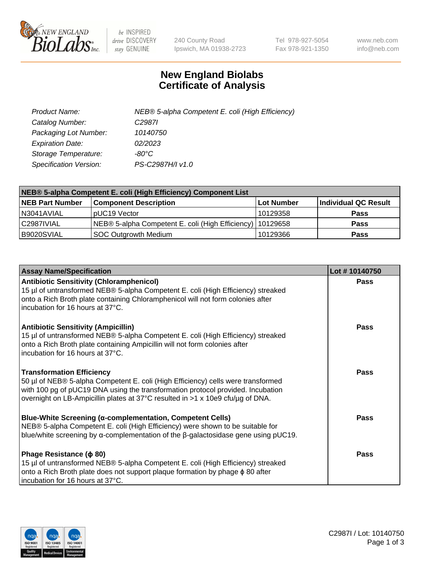

 $be$  INSPIRED drive DISCOVERY stay GENUINE

240 County Road Ipswich, MA 01938-2723 Tel 978-927-5054 Fax 978-921-1350 www.neb.com info@neb.com

## **New England Biolabs Certificate of Analysis**

| Product Name:           | NEB® 5-alpha Competent E. coli (High Efficiency) |
|-------------------------|--------------------------------------------------|
| Catalog Number:         | C <sub>2987</sub>                                |
| Packaging Lot Number:   | 10140750                                         |
| <b>Expiration Date:</b> | 02/2023                                          |
| Storage Temperature:    | -80°C                                            |
| Specification Version:  | PS-C2987H/I v1.0                                 |

| NEB® 5-alpha Competent E. coli (High Efficiency) Component List |                                                             |            |                      |  |
|-----------------------------------------------------------------|-------------------------------------------------------------|------------|----------------------|--|
| <b>NEB Part Number</b>                                          | <b>Component Description</b>                                | Lot Number | Individual QC Result |  |
| N3041AVIAL                                                      | pUC19 Vector                                                | 10129358   | <b>Pass</b>          |  |
| C2987IVIAL                                                      | NEB® 5-alpha Competent E. coli (High Efficiency)   10129658 |            | <b>Pass</b>          |  |
| B9020SVIAL                                                      | <b>SOC Outgrowth Medium</b>                                 | 10129366   | <b>Pass</b>          |  |

| <b>Assay Name/Specification</b>                                                                                                                                                                                                                                                           | Lot #10140750 |
|-------------------------------------------------------------------------------------------------------------------------------------------------------------------------------------------------------------------------------------------------------------------------------------------|---------------|
| <b>Antibiotic Sensitivity (Chloramphenicol)</b><br>15 µl of untransformed NEB® 5-alpha Competent E. coli (High Efficiency) streaked<br>onto a Rich Broth plate containing Chloramphenicol will not form colonies after<br>incubation for 16 hours at 37°C.                                | <b>Pass</b>   |
| <b>Antibiotic Sensitivity (Ampicillin)</b><br>15 µl of untransformed NEB® 5-alpha Competent E. coli (High Efficiency) streaked<br>onto a Rich Broth plate containing Ampicillin will not form colonies after<br>incubation for 16 hours at 37°C.                                          | Pass          |
| <b>Transformation Efficiency</b><br>50 µl of NEB® 5-alpha Competent E. coli (High Efficiency) cells were transformed<br>with 100 pg of pUC19 DNA using the transformation protocol provided. Incubation<br>overnight on LB-Ampicillin plates at 37°C resulted in >1 x 10e9 cfu/µg of DNA. | <b>Pass</b>   |
| Blue-White Screening (α-complementation, Competent Cells)<br>NEB® 5-alpha Competent E. coli (High Efficiency) were shown to be suitable for<br>blue/white screening by $\alpha$ -complementation of the $\beta$ -galactosidase gene using pUC19.                                          | Pass          |
| Phage Resistance ( $\phi$ 80)<br>15 µl of untransformed NEB® 5-alpha Competent E. coli (High Efficiency) streaked<br>onto a Rich Broth plate does not support plaque formation by phage φ 80 after<br>incubation for 16 hours at 37°C.                                                    | Pass          |

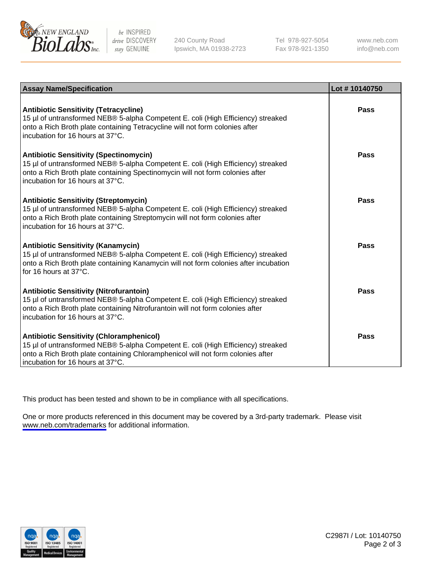

be INSPIRED drive DISCOVERY stay GENUINE

240 County Road Ipswich, MA 01938-2723 Tel 978-927-5054 Fax 978-921-1350

www.neb.com info@neb.com

| <b>Assay Name/Specification</b>                                                                                                                                                                                                                            | Lot #10140750 |
|------------------------------------------------------------------------------------------------------------------------------------------------------------------------------------------------------------------------------------------------------------|---------------|
| <b>Antibiotic Sensitivity (Tetracycline)</b><br>15 µl of untransformed NEB® 5-alpha Competent E. coli (High Efficiency) streaked<br>onto a Rich Broth plate containing Tetracycline will not form colonies after<br>incubation for 16 hours at 37°C.       | Pass          |
| <b>Antibiotic Sensitivity (Spectinomycin)</b><br>15 µl of untransformed NEB® 5-alpha Competent E. coli (High Efficiency) streaked<br>onto a Rich Broth plate containing Spectinomycin will not form colonies after<br>incubation for 16 hours at 37°C.     | Pass          |
| <b>Antibiotic Sensitivity (Streptomycin)</b><br>15 µl of untransformed NEB® 5-alpha Competent E. coli (High Efficiency) streaked<br>onto a Rich Broth plate containing Streptomycin will not form colonies after<br>incubation for 16 hours at 37°C.       | Pass          |
| <b>Antibiotic Sensitivity (Kanamycin)</b><br>15 µl of untransformed NEB® 5-alpha Competent E. coli (High Efficiency) streaked<br>onto a Rich Broth plate containing Kanamycin will not form colonies after incubation<br>for 16 hours at 37°C.             | Pass          |
| <b>Antibiotic Sensitivity (Nitrofurantoin)</b><br>15 µl of untransformed NEB® 5-alpha Competent E. coli (High Efficiency) streaked<br>onto a Rich Broth plate containing Nitrofurantoin will not form colonies after<br>incubation for 16 hours at 37°C.   | Pass          |
| <b>Antibiotic Sensitivity (Chloramphenicol)</b><br>15 µl of untransformed NEB® 5-alpha Competent E. coli (High Efficiency) streaked<br>onto a Rich Broth plate containing Chloramphenicol will not form colonies after<br>incubation for 16 hours at 37°C. | Pass          |

This product has been tested and shown to be in compliance with all specifications.

One or more products referenced in this document may be covered by a 3rd-party trademark. Please visit <www.neb.com/trademarks>for additional information.